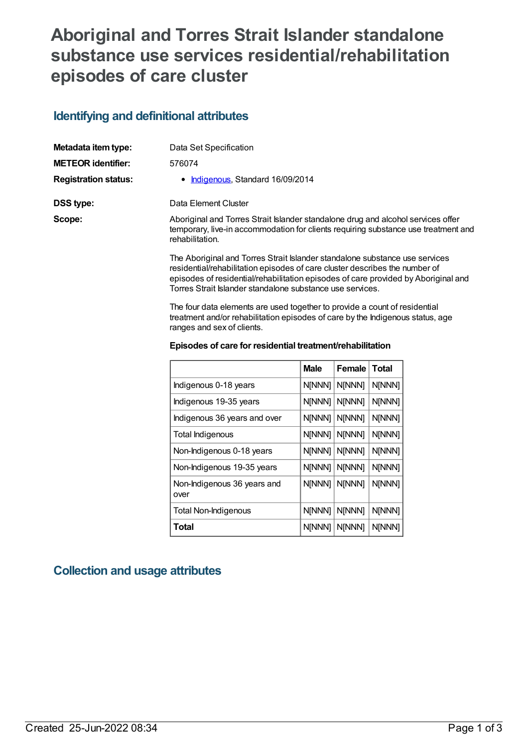## **Aboriginal and Torres Strait Islander standalone substance use services residential/rehabilitation episodes of care cluster**

## **Identifying and definitional attributes**

| Metadata item type:         | Data Set Specification                                                                                                                                                                                                                                                                                        |
|-----------------------------|---------------------------------------------------------------------------------------------------------------------------------------------------------------------------------------------------------------------------------------------------------------------------------------------------------------|
| <b>METEOR identifier:</b>   | 576074                                                                                                                                                                                                                                                                                                        |
| <b>Registration status:</b> | • Indigenous, Standard 16/09/2014                                                                                                                                                                                                                                                                             |
| DSS type:                   | Data Element Cluster                                                                                                                                                                                                                                                                                          |
| Scope:                      | Aboriginal and Torres Strait Islander standalone drug and alcohol services offer<br>temporary, live-in accommodation for clients requiring substance use treatment and<br>rehabilitation.                                                                                                                     |
|                             | The Aboriginal and Torres Strait Islander standalone substance use services<br>residential/rehabilitation episodes of care cluster describes the number of<br>episodes of residential/rehabilitation episodes of care provided by Aboriginal and<br>Torres Strait Islander standalone substance use services. |

The four data elements are used together to provide a count of residential treatment and/or rehabilitation episodes of care by the Indigenous status, age ranges and sex of clients.

| Episodes of care for residential treatment/rehabilitation |  |
|-----------------------------------------------------------|--|
|-----------------------------------------------------------|--|

|                                     | <b>Male</b> | Female        | <b>Total</b> |
|-------------------------------------|-------------|---------------|--------------|
| Indigenous 0-18 years               | N[NNN]      | <b>N[NNN]</b> | N[NNN]       |
| Indigenous 19-35 years              | N[NNN]      | N[NNN]        | N[NNN]       |
| Indigenous 36 years and over        | N[NNN]      | <b>N[NNN]</b> | N[NNN]       |
| Total Indigenous                    | N[NNN]      | N[NNN]        | N[NNN]       |
| Non-Indigenous 0-18 years           | N[NNN]      | N[NNN]        | N[NNN]       |
| Non-Indigenous 19-35 years          | N[NNN]      | N[NNN]        | N[NNN]       |
| Non-Indigenous 36 years and<br>over | N[NNN]      | N[NNN]        | N[NNN]       |
| <b>Total Non-Indigenous</b>         | N[NNN]      | N[NNN]        | N[NNN]       |
| Total                               | N[NNN]      | N[NNN]        | N[NNN]       |

## **Collection and usage attributes**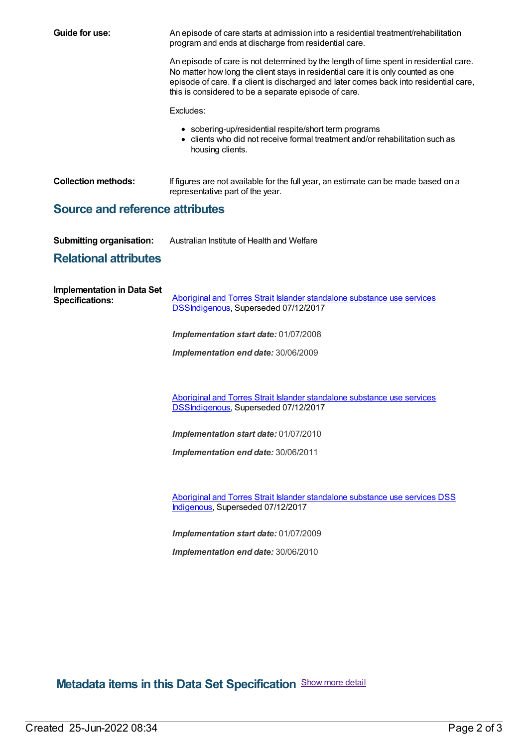| Guide for use:                                              | An episode of care starts at admission into a residential treatment/rehabilitation<br>program and ends at discharge from residential care.                                                                                                                                                                                   |
|-------------------------------------------------------------|------------------------------------------------------------------------------------------------------------------------------------------------------------------------------------------------------------------------------------------------------------------------------------------------------------------------------|
|                                                             | An episode of care is not determined by the length of time spent in residential care.<br>No matter how long the client stays in residential care it is only counted as one<br>episode of care. If a client is discharged and later comes back into residential care,<br>this is considered to be a separate episode of care. |
|                                                             | Excludes:                                                                                                                                                                                                                                                                                                                    |
|                                                             | • sobering-up/residential respite/short term programs<br>• clients who did not receive formal treatment and/or rehabilitation such as<br>housing clients.                                                                                                                                                                    |
| <b>Collection methods:</b>                                  | If figures are not available for the full year, an estimate can be made based on a<br>representative part of the year.                                                                                                                                                                                                       |
| <b>Source and reference attributes</b>                      |                                                                                                                                                                                                                                                                                                                              |
| <b>Submitting organisation:</b>                             | Australian Institute of Health and Welfare                                                                                                                                                                                                                                                                                   |
| <b>Relational attributes</b>                                |                                                                                                                                                                                                                                                                                                                              |
| <b>Implementation in Data Set</b><br><b>Specifications:</b> | Aboriginal and Torres Strait Islander standalone substance use services<br><b>DSSIndigenous, Superseded 07/12/2017</b>                                                                                                                                                                                                       |
|                                                             | Implementation start date: 01/07/2008                                                                                                                                                                                                                                                                                        |
|                                                             | Implementation end date: 30/06/2009                                                                                                                                                                                                                                                                                          |
|                                                             | Aboriginal and Torres Strait Islander standalone substance use services                                                                                                                                                                                                                                                      |
|                                                             | <b>DSSIndigenous, Superseded 07/12/2017</b>                                                                                                                                                                                                                                                                                  |
|                                                             | Implementation start date: 01/07/2010                                                                                                                                                                                                                                                                                        |
|                                                             | Implementation end date: 30/06/2011                                                                                                                                                                                                                                                                                          |
|                                                             | Aboriginal and Torres Strait Islander standalone substance use services DSS<br>Indigenous, Superseded 07/12/2017                                                                                                                                                                                                             |
|                                                             | Implementation start date: 01/07/2009                                                                                                                                                                                                                                                                                        |
|                                                             | Implementation end date: 30/06/2010                                                                                                                                                                                                                                                                                          |

**Metadata items in this Data Set Specification** Show more detail